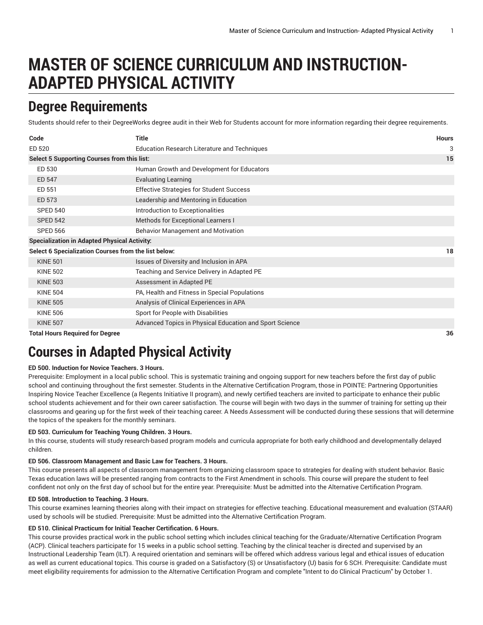# **MASTER OF SCIENCE CURRICULUM AND INSTRUCTION-ADAPTED PHYSICAL ACTIVITY**

# **Degree Requirements**

Students should refer to their DegreeWorks degree audit in their Web for Students account for more information regarding their degree requirements.

| Code                                                 | <b>Title</b>                                            | <b>Hours</b> |
|------------------------------------------------------|---------------------------------------------------------|--------------|
| ED 520                                               | <b>Education Research Literature and Techniques</b>     | 3            |
| Select 5 Supporting Courses from this list:          |                                                         | 15           |
| ED 530                                               | Human Growth and Development for Educators              |              |
| ED 547                                               | <b>Evaluating Learning</b>                              |              |
| ED 551                                               | <b>Effective Strategies for Student Success</b>         |              |
| ED 573                                               | Leadership and Mentoring in Education                   |              |
| <b>SPED 540</b>                                      | Introduction to Exceptionalities                        |              |
| <b>SPED 542</b>                                      | Methods for Exceptional Learners I                      |              |
| <b>SPED 566</b>                                      | Behavior Management and Motivation                      |              |
| <b>Specialization in Adapted Physical Activity:</b>  |                                                         |              |
| Select 6 Specialization Courses from the list below: |                                                         | 18           |
| <b>KINE 501</b>                                      | Issues of Diversity and Inclusion in APA                |              |
| <b>KINE 502</b>                                      | Teaching and Service Delivery in Adapted PE             |              |
| <b>KINE 503</b>                                      | Assessment in Adapted PE                                |              |
| <b>KINE 504</b>                                      | PA, Health and Fitness in Special Populations           |              |
| <b>KINE 505</b>                                      | Analysis of Clinical Experiences in APA                 |              |
| <b>KINE 506</b>                                      | Sport for People with Disabilities                      |              |
| <b>KINE 507</b>                                      | Advanced Topics in Physical Education and Sport Science |              |
| <b>Total Hours Required for Degree</b>               |                                                         | 36           |

# **Courses in Adapted Physical Activity**

# **ED 500. Induction for Novice Teachers. 3 Hours.**

Prerequisite: Employment in a local public school. This is systematic training and ongoing support for new teachers before the first day of public school and continuing throughout the first semester. Students in the Alternative Certification Program, those in POINTE: Partnering Opportunities Inspiring Novice Teacher Excellence (a Regents Initiative II program), and newly certified teachers are invited to participate to enhance their public school students achievement and for their own career satisfaction. The course will begin with two days in the summer of training for setting up their classrooms and gearing up for the first week of their teaching career. A Needs Assessment will be conducted during these sessions that will determine the topics of the speakers for the monthly seminars.

# **ED 503. Curriculum for Teaching Young Children. 3 Hours.**

In this course, students will study research-based program models and curricula appropriate for both early childhood and developmentally delayed children.

# **ED 506. Classroom Management and Basic Law for Teachers. 3 Hours.**

This course presents all aspects of classroom management from organizing classroom space to strategies for dealing with student behavior. Basic Texas education laws will be presented ranging from contracts to the First Amendment in schools. This course will prepare the student to feel confident not only on the first day of school but for the entire year. Prerequisite: Must be admitted into the Alternative Certification Program.

# **ED 508. Introduction to Teaching. 3 Hours.**

This course examines learning theories along with their impact on strategies for effective teaching. Educational measurement and evaluation (STAAR) used by schools will be studied. Prerequisite: Must be admitted into the Alternative Certification Program.

# **ED 510. Clinical Practicum for Initial Teacher Certification. 6 Hours.**

This course provides practical work in the public school setting which includes clinical teaching for the Graduate/Alternative Certification Program (ACP). Clinical teachers participate for 15 weeks in a public school setting. Teaching by the clinical teacher is directed and supervised by an Instructional Leadership Team (ILT). A required orientation and seminars will be offered which address various legal and ethical issues of education as well as current educational topics. This course is graded on a Satisfactory (S) or Unsatisfactory (U) basis for 6 SCH. Prerequisite: Candidate must meet eligibility requirements for admission to the Alternative Certification Program and complete "Intent to do Clinical Practicum" by October 1.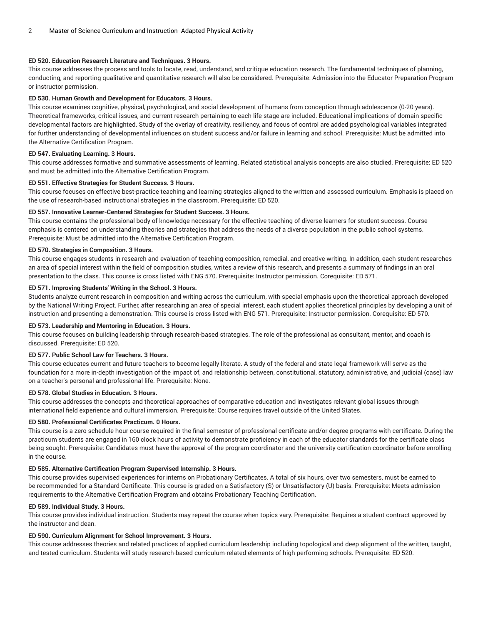# **ED 520. Education Research Literature and Techniques. 3 Hours.**

This course addresses the process and tools to locate, read, understand, and critique education research. The fundamental techniques of planning, conducting, and reporting qualitative and quantitative research will also be considered. Prerequisite: Admission into the Educator Preparation Program or instructor permission.

# **ED 530. Human Growth and Development for Educators. 3 Hours.**

This course examines cognitive, physical, psychological, and social development of humans from conception through adolescence (0-20 years). Theoretical frameworks, critical issues, and current research pertaining to each life-stage are included. Educational implications of domain specific developmental factors are highlighted. Study of the overlay of creativity, resiliency, and focus of control are added psychological variables integrated for further understanding of developmental influences on student success and/or failure in learning and school. Prerequisite: Must be admitted into the Alternative Certification Program.

# **ED 547. Evaluating Learning. 3 Hours.**

This course addresses formative and summative assessments of learning. Related statistical analysis concepts are also studied. Prerequisite: ED 520 and must be admitted into the Alternative Certification Program.

# **ED 551. Effective Strategies for Student Success. 3 Hours.**

This course focuses on effective best-practice teaching and learning strategies aligned to the written and assessed curriculum. Emphasis is placed on the use of research-based instructional strategies in the classroom. Prerequisite: ED 520.

# **ED 557. Innovative Learner-Centered Strategies for Student Success. 3 Hours.**

This course contains the professional body of knowledge necessary for the effective teaching of diverse learners for student success. Course emphasis is centered on understanding theories and strategies that address the needs of a diverse population in the public school systems. Prerequisite: Must be admitted into the Alternative Certification Program.

# **ED 570. Strategies in Composition. 3 Hours.**

This course engages students in research and evaluation of teaching composition, remedial, and creative writing. In addition, each student researches an area of special interest within the field of composition studies, writes a review of this research, and presents a summary of findings in an oral presentation to the class. This course is cross listed with ENG 570. Prerequisite: Instructor permission. Corequisite: ED 571.

# **ED 571. Improving Students' Writing in the School. 3 Hours.**

Students analyze current research in composition and writing across the curriculum, with special emphasis upon the theoretical approach developed by the National Writing Project. Further, after researching an area of special interest, each student applies theoretical principles by developing a unit of instruction and presenting a demonstration. This course is cross listed with ENG 571. Prerequisite: Instructor permission. Corequisite: ED 570.

# **ED 573. Leadership and Mentoring in Education. 3 Hours.**

This course focuses on building leadership through research-based strategies. The role of the professional as consultant, mentor, and coach is discussed. Prerequisite: ED 520.

# **ED 577. Public School Law for Teachers. 3 Hours.**

This course educates current and future teachers to become legally literate. A study of the federal and state legal framework will serve as the foundation for a more in-depth investigation of the impact of, and relationship between, constitutional, statutory, administrative, and judicial (case) law on a teacher's personal and professional life. Prerequisite: None.

# **ED 578. Global Studies in Education. 3 Hours.**

This course addresses the concepts and theoretical approaches of comparative education and investigates relevant global issues through international field experience and cultural immersion. Prerequisite: Course requires travel outside of the United States.

# **ED 580. Professional Certificates Practicum. 0 Hours.**

This course is a zero schedule hour course required in the final semester of professional certificate and/or degree programs with certificate. During the practicum students are engaged in 160 clock hours of activity to demonstrate proficiency in each of the educator standards for the certificate class being sought. Prerequisite: Candidates must have the approval of the program coordinator and the university certification coordinator before enrolling in the course.

# **ED 585. Alternative Certification Program Supervised Internship. 3 Hours.**

This course provides supervised experiences for interns on Probationary Certificates. A total of six hours, over two semesters, must be earned to be recommended for a Standard Certificate. This course is graded on a Satisfactory (S) or Unsatisfactory (U) basis. Prerequisite: Meets admission requirements to the Alternative Certification Program and obtains Probationary Teaching Certification.

# **ED 589. Individual Study. 3 Hours.**

This course provides individual instruction. Students may repeat the course when topics vary. Prerequisite: Requires a student contract approved by the instructor and dean.

# **ED 590. Curriculum Alignment for School Improvement. 3 Hours.**

This course addresses theories and related practices of applied curriculum leadership including topological and deep alignment of the written, taught, and tested curriculum. Students will study research-based curriculum-related elements of high performing schools. Prerequisite: ED 520.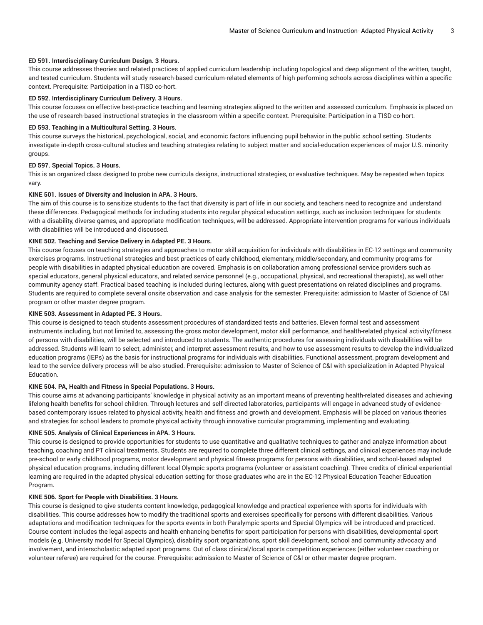## **ED 591. Interdisciplinary Curriculum Design. 3 Hours.**

This course addresses theories and related practices of applied curriculum leadership including topological and deep alignment of the written, taught, and tested curriculum. Students will study research-based curriculum-related elements of high performing schools across disciplines within a specific context. Prerequisite: Participation in a TISD co-hort.

## **ED 592. Interdisciplinary Curriculum Delivery. 3 Hours.**

This course focuses on effective best-practice teaching and learning strategies aligned to the written and assessed curriculum. Emphasis is placed on the use of research-based instructional strategies in the classroom within a specific context. Prerequisite: Participation in a TISD co-hort.

### **ED 593. Teaching in a Multicultural Setting. 3 Hours.**

This course surveys the historical, psychological, social, and economic factors influencing pupil behavior in the public school setting. Students investigate in-depth cross-cultural studies and teaching strategies relating to subject matter and social-education experiences of major U.S. minority groups.

#### **ED 597. Special Topics. 3 Hours.**

This is an organized class designed to probe new curricula designs, instructional strategies, or evaluative techniques. May be repeated when topics vary.

# **KINE 501. Issues of Diversity and Inclusion in APA. 3 Hours.**

The aim of this course is to sensitize students to the fact that diversity is part of life in our society, and teachers need to recognize and understand these differences. Pedagogical methods for including students into regular physical education settings, such as inclusion techniques for students with a disability, diverse games, and appropriate modification techniques, will be addressed. Appropriate intervention programs for various individuals with disabilities will be introduced and discussed.

### **KINE 502. Teaching and Service Delivery in Adapted PE. 3 Hours.**

This course focuses on teaching strategies and approaches to motor skill acquisition for individuals with disabilities in EC-12 settings and community exercises programs. Instructional strategies and best practices of early childhood, elementary, middle/secondary, and community programs for people with disabilities in adapted physical education are covered. Emphasis is on collaboration among professional service providers such as special educators, general physical educators, and related service personnel (e.g., occupational, physical, and recreational therapists), as well other community agency staff. Practical based teaching is included during lectures, along with guest presentations on related disciplines and programs. Students are required to complete several onsite observation and case analysis for the semester. Prerequisite: admission to Master of Science of C&I program or other master degree program.

# **KINE 503. Assessment in Adapted PE. 3 Hours.**

This course is designed to teach students assessment procedures of standardized tests and batteries. Eleven formal test and assessment instruments including, but not limited to, assessing the gross motor development, motor skill performance, and health-related physical activity/fitness of persons with disabilities, will be selected and introduced to students. The authentic procedures for assessing individuals with disabilities will be addressed. Students will learn to select, administer, and interpret assessment results, and how to use assessment results to develop the individualized education programs (IEPs) as the basis for instructional programs for individuals with disabilities. Functional assessment, program development and lead to the service delivery process will be also studied. Prerequisite: admission to Master of Science of C&I with specialization in Adapted Physical Education.

## **KINE 504. PA, Health and Fitness in Special Populations. 3 Hours.**

This course aims at advancing participants' knowledge in physical activity as an important means of preventing health-related diseases and achieving lifelong health benefits for school children. Through lectures and self-directed laboratories, participants will engage in advanced study of evidencebased contemporary issues related to physical activity, health and fitness and growth and development. Emphasis will be placed on various theories and strategies for school leaders to promote physical activity through innovative curricular programming, implementing and evaluating.

# **KINE 505. Analysis of Clinical Experiences in APA. 3 Hours.**

This course is designed to provide opportunities for students to use quantitative and qualitative techniques to gather and analyze information about teaching, coaching and PT clinical treatments. Students are required to complete three different clinical settings, and clinical experiences may include pre-school or early childhood programs, motor development and physical fitness programs for persons with disabilities, and school-based adapted physical education programs, including different local Olympic sports programs (volunteer or assistant coaching). Three credits of clinical experiential learning are required in the adapted physical education setting for those graduates who are in the EC-12 Physical Education Teacher Education Program.

#### **KINE 506. Sport for People with Disabilities. 3 Hours.**

This course is designed to give students content knowledge, pedagogical knowledge and practical experience with sports for individuals with disabilities. This course addresses how to modify the traditional sports and exercises specifically for persons with different disabilities. Various adaptations and modification techniques for the sports events in both Paralympic sports and Special Olympics will be introduced and practiced. Course content includes the legal aspects and health enhancing benefits for sport participation for persons with disabilities, developmental sport models (e.g. University model for Special Qlympics), disability sport organizations, sport skill development, school and community advocacy and involvement, and interscholastic adapted sport programs. Out of class clinical/local sports competition experiences (either volunteer coaching or volunteer referee) are required for the course. Prerequisite: admission to Master of Science of C&I or other master degree program.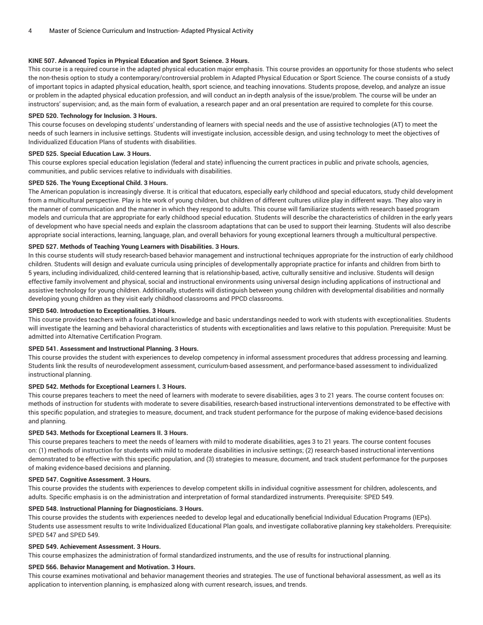# **KINE 507. Advanced Topics in Physical Education and Sport Science. 3 Hours.**

This course is a required course in the adapted physical education major emphasis. This course provides an opportunity for those students who select the non-thesis option to study a contemporary/controversial problem in Adapted Physical Education or Sport Science. The course consists of a study of important topics in adapted physical education, health, sport science, and teaching innovations. Students propose, develop, and analyze an issue or problem in the adapted physical education profession, and will conduct an in-depth analysis of the issue/problem. The course will be under an instructors' supervision; and, as the main form of evaluation, a research paper and an oral presentation are required to complete for this course.

## **SPED 520. Technology for Inclusion. 3 Hours.**

This course focuses on developing students' understanding of learners with special needs and the use of assistive technologies (AT) to meet the needs of such learners in inclusive settings. Students will investigate inclusion, accessible design, and using technology to meet the objectives of Individualized Education Plans of students with disabilities.

### **SPED 525. Special Education Law. 3 Hours.**

This course explores special education legislation (federal and state) influencing the current practices in public and private schools, agencies, communities, and public services relative to individuals with disabilities.

## **SPED 526. The Young Exceptional Child. 3 Hours.**

The American population is increasingly diverse. It is critical that educators, especially early childhood and special educators, study child development from a multicultural perspective. Play is hte work of young children, but children of different cultures utilize play in different ways. They also vary in the manner of communication and the manner in which they respond to adults. This course will familiarize students with research based program models and curricula that are appropriate for early childhood special education. Students will describe the characteristics of children in the early years of development who have special needs and explain the classroom adaptations that can be used to support their learning. Students will also describe appropriate social interactions, learning, language, plan, and overall behaviors for young exceptional learners through a multicultural perspective.

# **SPED 527. Methods of Teaching Young Learners with Disabilities. 3 Hours.**

In this course students will study research-based behavior management and instructional techniques appropriate for the instruction of early childhood children. Students will design and evaluate curricula using principles of developmentally appropriate practice for infants and children from birth to 5 years, including individualized, child-centered learning that is relationship-based, active, culturally sensitive and inclusive. Students will design effective family involvement and physical, social and instructional environments using universal design including applications of instructional and assistive technology for young children. Additionally, students will distinguish between young children with developmental disabilities and normally developing young children as they visit early childhood classrooms and PPCD classrooms.

#### **SPED 540. Introduction to Exceptionalities. 3 Hours.**

This course provides teachers with a foundational knowledge and basic understandings needed to work with students with exceptionalities. Students will investigate the learning and behavioral characteristics of students with exceptionalities and laws relative to this population. Prerequisite: Must be admitted into Alternative Certification Program.

#### **SPED 541. Assessment and Instructional Planning. 3 Hours.**

This course provides the student with experiences to develop competency in informal assessment procedures that address processing and learning. Students link the results of neurodevelopment assessment, curriculum-based assessment, and performance-based assessment to individualized instructional planning.

## **SPED 542. Methods for Exceptional Learners I. 3 Hours.**

This course prepares teachers to meet the need of learners with moderate to severe disabilities, ages 3 to 21 years. The course content focuses on: methods of instruction for students with moderate to severe disabilities, research-based instructional interventions demonstrated to be effective with this specific population, and strategies to measure, document, and track student performance for the purpose of making evidence-based decisions and planning.

# **SPED 543. Methods for Exceptional Learners II. 3 Hours.**

This course prepares teachers to meet the needs of learners with mild to moderate disabilities, ages 3 to 21 years. The course content focuses on: (1) methods of instruction for students with mild to moderate disabilities in inclusive settings; (2) research-based instructional interventions demonstrated to be effective with this specific population, and (3) strategies to measure, document, and track student performance for the purposes of making evidence-based decisions and planning.

## **SPED 547. Cognitive Assessment. 3 Hours.**

This course provides the students with experiences to develop competent skills in individual cognitive assessment for children, adolescents, and adults. Specific emphasis is on the administration and interpretation of formal standardized instruments. Prerequisite: SPED 549.

# **SPED 548. Instructional Planning for Diagnosticians. 3 Hours.**

This course provides the students with experiences needed to develop legal and educationally beneficial Individual Education Programs (IEPs). Students use assessment results to write Individualized Educational Plan goals, and investigate collaborative planning key stakeholders. Prerequisite: SPED 547 and SPED 549.

### **SPED 549. Achievement Assessment. 3 Hours.**

This course emphasizes the administration of formal standardized instruments, and the use of results for instructional planning.

## **SPED 566. Behavior Management and Motivation. 3 Hours.**

This course examines motivational and behavior management theories and strategies. The use of functional behavioral assessment, as well as its application to intervention planning, is emphasized along with current research, issues, and trends.